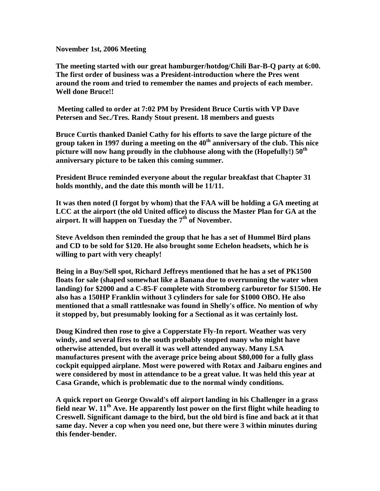**November 1st, 2006 Meeting**

**The meeting started with our great hamburger/hotdog/Chili Bar-B-Q party at 6:00. The first order of business was a President-introduction where the Pres went around the room and tried to remember the names and projects of each member. Well done Bruce!!**

 **Meeting called to order at 7:02 PM by President Bruce Curtis with VP Dave Petersen and Sec./Tres. Randy Stout present. 18 members and guests**

**Bruce Curtis thanked Daniel Cathy for his efforts to save the large picture of the group taken in 1997 during a meeting on the 40th anniversary of the club. This nice picture will now hang proudly in the clubhouse along with the (Hopefully!) 50th anniversary picture to be taken this coming summer.**

**President Bruce reminded everyone about the regular breakfast that Chapter 31 holds monthly, and the date this month will be 11/11.**

**It was then noted (I forgot by whom) that the FAA will be holding a GA meeting at LCC at the airport (the old United office) to discuss the Master Plan for GA at the airport. It will happen on Tuesday the 7th of November.**

**Steve Aveldson then reminded the group that he has a set of Hummel Bird plans and CD to be sold for \$120. He also brought some Echelon headsets, which he is willing to part with very cheaply!**

**Being in a Buy/Sell spot, Richard Jeffreys mentioned that he has a set of PK1500 floats for sale (shaped somewhat like a Banana due to overrunning the water when landing) for \$2000 and a C-85-F complete with Stromberg carburetor for \$1500. He also has a 150HP Franklin without 3 cylinders for sale for \$1000 OBO. He also mentioned that a small rattlesnake was found in Shelly's office. No mention of why it stopped by, but presumably looking for a Sectional as it was certainly lost.**

**Doug Kindred then rose to give a Copperstate Fly-In report. Weather was very windy, and several fires to the south probably stopped many who might have otherwise attended, but overall it was well attended anyway. Many LSA manufactures present with the average price being about \$80,000 for a fully glass cockpit equipped airplane. Most were powered with Rotax and Jaibaru engines and were considered by most in attendance to be a great value. It was held this year at Casa Grande, which is problematic due to the normal windy conditions.**

**A quick report on George Oswald's off airport landing in his Challenger in a grass field near W. 11th Ave. He apparently lost power on the first flight while heading to Creswell. Significant damage to the bird, but the old bird is fine and back at it that same day. Never a cop when you need one, but there were 3 within minutes during this fender-bender.**